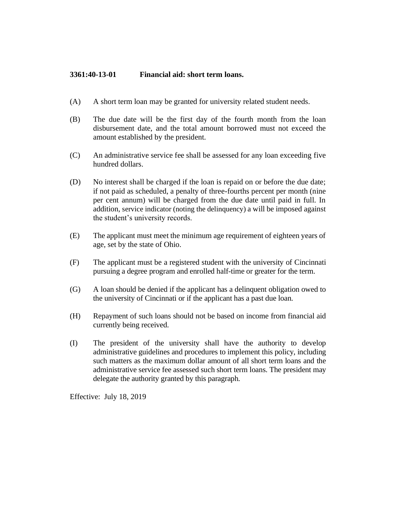## **3361:40-13-01 Financial aid: short term loans.**

- (A) A short term loan may be granted for university related student needs.
- (B) The due date will be the first day of the fourth month from the loan disbursement date, and the total amount borrowed must not exceed the amount established by the president.
- (C) An administrative service fee shall be assessed for any loan exceeding five hundred dollars.
- (D) No interest shall be charged if the loan is repaid on or before the due date; if not paid as scheduled, a penalty of three-fourths percent per month (nine per cent annum) will be charged from the due date until paid in full. In addition, service indicator (noting the delinquency) a will be imposed against the student's university records.
- (E) The applicant must meet the minimum age requirement of eighteen years of age, set by the state of Ohio.
- (F) The applicant must be a registered student with the university of Cincinnati pursuing a degree program and enrolled half-time or greater for the term.
- (G) A loan should be denied if the applicant has a delinquent obligation owed to the university of Cincinnati or if the applicant has a past due loan.
- (H) Repayment of such loans should not be based on income from financial aid currently being received.
- (I) The president of the university shall have the authority to develop administrative guidelines and procedures to implement this policy, including such matters as the maximum dollar amount of all short term loans and the administrative service fee assessed such short term loans. The president may delegate the authority granted by this paragraph.

Effective: July 18, 2019